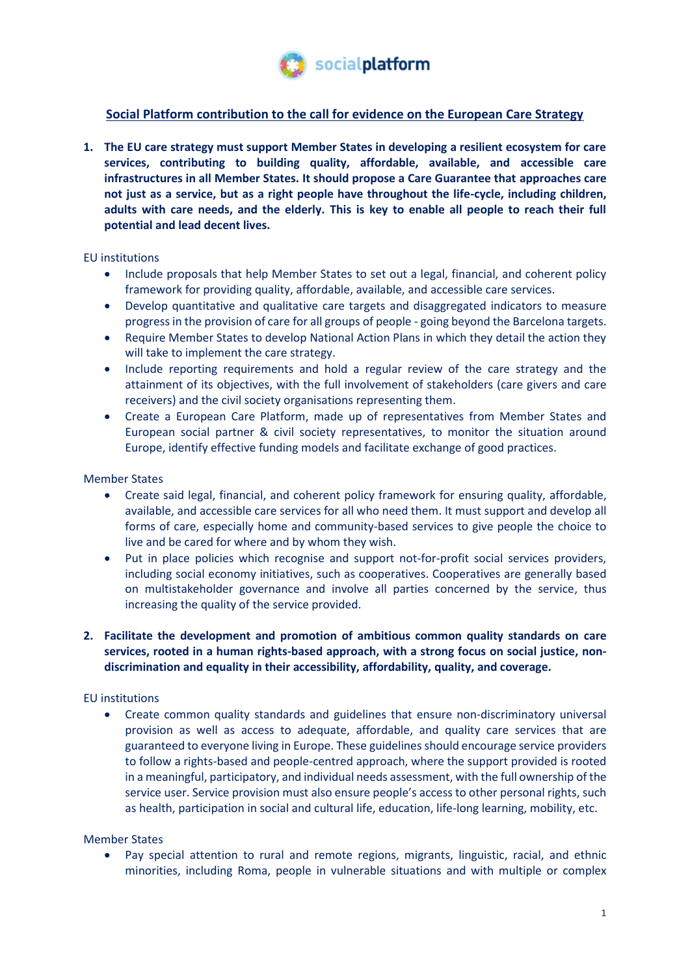

# **Social Platform contribution to the call for evidence on the European Care Strategy**

**1. The EU care strategy must support Member States in developing a resilient ecosystem for care services, contributing to building quality, affordable, available, and accessible care infrastructures in all Member States. It should propose a Care Guarantee that approaches care not just as a service, but as a right people have throughout the life-cycle, including children, adults with care needs, and the elderly. This is key to enable all people to reach their full potential and lead decent lives.** 

# EU institutions

- Include proposals that help Member States to set out a legal, financial, and coherent policy framework for providing quality, affordable, available, and accessible care services.
- Develop quantitative and qualitative care targets and disaggregated indicators to measure progress in the provision of care for all groups of people - going beyond the Barcelona targets.
- Require Member States to develop National Action Plans in which they detail the action they will take to implement the care strategy.
- Include reporting requirements and hold a regular review of the care strategy and the attainment of its objectives, with the full involvement of stakeholders (care givers and care receivers) and the civil society organisations representing them.
- Create a European Care Platform, made up of representatives from Member States and European social partner & civil society representatives, to monitor the situation around Europe, identify effective funding models and facilitate exchange of good practices.

### Member States

- Create said legal, financial, and coherent policy framework for ensuring quality, affordable, available, and accessible care services for all who need them. It must support and develop all forms of care, especially home and community-based services to give people the choice to live and be cared for where and by whom they wish.
- Put in place policies which recognise and support not-for-profit social services providers, including social economy initiatives, such as cooperatives. Cooperatives are generally based on multistakeholder governance and involve all parties concerned by the service, thus increasing the quality of the service provided.

# **2. Facilitate the development and promotion of ambitious common quality standards on care services, rooted in a human rights-based approach, with a strong focus on social justice, nondiscrimination and equality in their accessibility, affordability, quality, and coverage.**

# EU institutions

• Create common quality standards and guidelines that ensure non-discriminatory universal provision as well as access to adequate, affordable, and quality care services that are guaranteed to everyone living in Europe. These guidelines should encourage service providers to follow a rights-based and people-centred approach, where the support provided is rooted in a meaningful, participatory, and individual needs assessment, with the full ownership of the service user. Service provision must also ensure people's access to other personal rights, such as health, participation in social and cultural life, education, life-long learning, mobility, etc.

### Member States

Pay special attention to rural and remote regions, migrants, linguistic, racial, and ethnic minorities, including Roma, people in vulnerable situations and with multiple or complex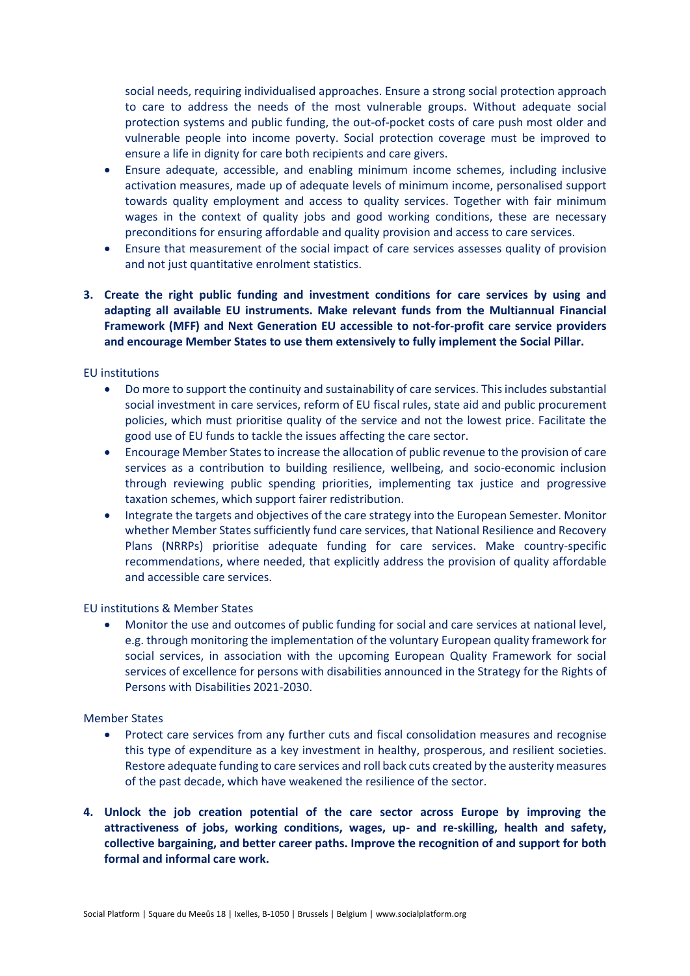social needs, requiring individualised approaches. Ensure a strong social protection approach to care to address the needs of the most vulnerable groups. Without adequate social protection systems and public funding, the out-of-pocket costs of care push most older and vulnerable people into income poverty. Social protection coverage must be improved to ensure a life in dignity for care both recipients and care givers.

- Ensure adequate, accessible, and enabling minimum income schemes, including inclusive activation measures, made up of adequate levels of minimum income, personalised support towards quality employment and access to quality services. Together with fair minimum wages in the context of quality jobs and good working conditions, these are necessary preconditions for ensuring affordable and quality provision and access to care services.
- Ensure that measurement of the social impact of care services assesses quality of provision and not just quantitative enrolment statistics.
- **3. Create the right public funding and investment conditions for care services by using and adapting all available EU instruments. Make relevant funds from the Multiannual Financial Framework (MFF) and Next Generation EU accessible to not-for-profit care service providers and encourage Member States to use them extensively to fully implement the Social Pillar.**

### EU institutions

- Do more to support the continuity and sustainability of care services. This includes substantial social investment in care services, reform of EU fiscal rules, state aid and public procurement policies, which must prioritise quality of the service and not the lowest price. Facilitate the good use of EU funds to tackle the issues affecting the care sector.
- Encourage Member States to increase the allocation of public revenue to the provision of care services as a contribution to building resilience, wellbeing, and socio-economic inclusion through reviewing public spending priorities, implementing tax justice and progressive taxation schemes, which support fairer redistribution.
- Integrate the targets and objectives of the care strategy into the European Semester. Monitor whether Member States sufficiently fund care services, that National Resilience and Recovery Plans (NRRPs) prioritise adequate funding for care services. Make country-specific recommendations, where needed, that explicitly address the provision of quality affordable and accessible care services.

### EU institutions & Member States

• Monitor the use and outcomes of public funding for social and care services at national level, e.g. through monitoring the implementation of the voluntary European quality framework for social services, in association with the upcoming European Quality Framework for social services of excellence for persons with disabilities announced in the Strategy for the Rights of Persons with Disabilities 2021-2030.

### Member States

- Protect care services from any further cuts and fiscal consolidation measures and recognise this type of expenditure as a key investment in healthy, prosperous, and resilient societies. Restore adequate funding to care services and roll back cuts created by the austerity measures of the past decade, which have weakened the resilience of the sector.
- **4. Unlock the job creation potential of the care sector across Europe by improving the attractiveness of jobs, working conditions, wages, up- and re-skilling, health and safety, collective bargaining, and better career paths. Improve the recognition of and support for both formal and informal care work.**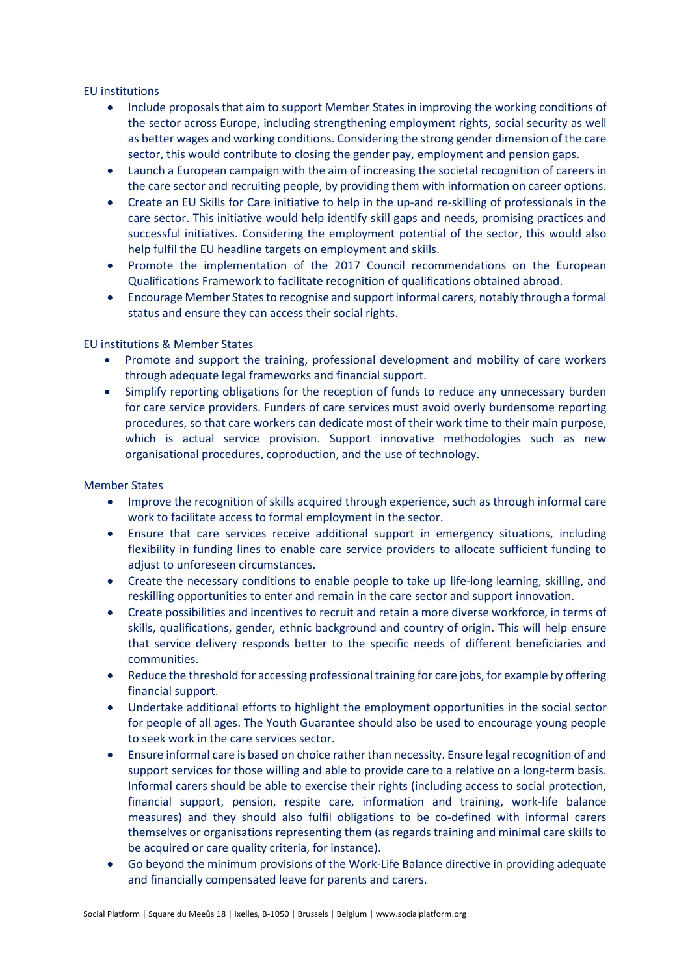### EU institutions

- Include proposals that aim to support Member States in improving the working conditions of the sector across Europe, including strengthening employment rights, social security as well as better wages and working conditions. Considering the strong gender dimension of the care sector, this would contribute to closing the gender pay, employment and pension gaps.
- Launch a European campaign with the aim of increasing the societal recognition of careers in the care sector and recruiting people, by providing them with information on career options.
- Create an EU Skills for Care initiative to help in the up-and re-skilling of professionals in the care sector. This initiative would help identify skill gaps and needs, promising practices and successful initiatives. Considering the employment potential of the sector, this would also help fulfil the EU headline targets on employment and skills.
- Promote the implementation of the 2017 Council recommendations on the European Qualifications Framework to facilitate recognition of qualifications obtained abroad.
- Encourage Member States to recognise and support informal carers, notably through a formal status and ensure they can access their social rights.

# EU institutions & Member States

- Promote and support the training, professional development and mobility of care workers through adequate legal frameworks and financial support.
- Simplify reporting obligations for the reception of funds to reduce any unnecessary burden for care service providers. Funders of care services must avoid overly burdensome reporting procedures, so that care workers can dedicate most of their work time to their main purpose, which is actual service provision. Support innovative methodologies such as new organisational procedures, coproduction, and the use of technology.

### Member States

- Improve the recognition of skills acquired through experience, such as through informal care work to facilitate access to formal employment in the sector.
- Ensure that care services receive additional support in emergency situations, including flexibility in funding lines to enable care service providers to allocate sufficient funding to adjust to unforeseen circumstances.
- Create the necessary conditions to enable people to take up life-long learning, skilling, and reskilling opportunities to enter and remain in the care sector and support innovation.
- Create possibilities and incentives to recruit and retain a more diverse workforce, in terms of skills, qualifications, gender, ethnic background and country of origin. This will help ensure that service delivery responds better to the specific needs of different beneficiaries and communities.
- Reduce the threshold for accessing professional training for care jobs, for example by offering financial support.
- Undertake additional efforts to highlight the employment opportunities in the social sector for people of all ages. The Youth Guarantee should also be used to encourage young people to seek work in the care services sector.
- Ensure informal care is based on choice rather than necessity. Ensure legal recognition of and support services for those willing and able to provide care to a relative on a long-term basis. Informal carers should be able to exercise their rights (including access to social protection, financial support, pension, respite care, information and training, work-life balance measures) and they should also fulfil obligations to be co-defined with informal carers themselves or organisations representing them (as regards training and minimal care skills to be acquired or care quality criteria, for instance).
- Go beyond the minimum provisions of the Work-Life Balance directive in providing adequate and financially compensated leave for parents and carers.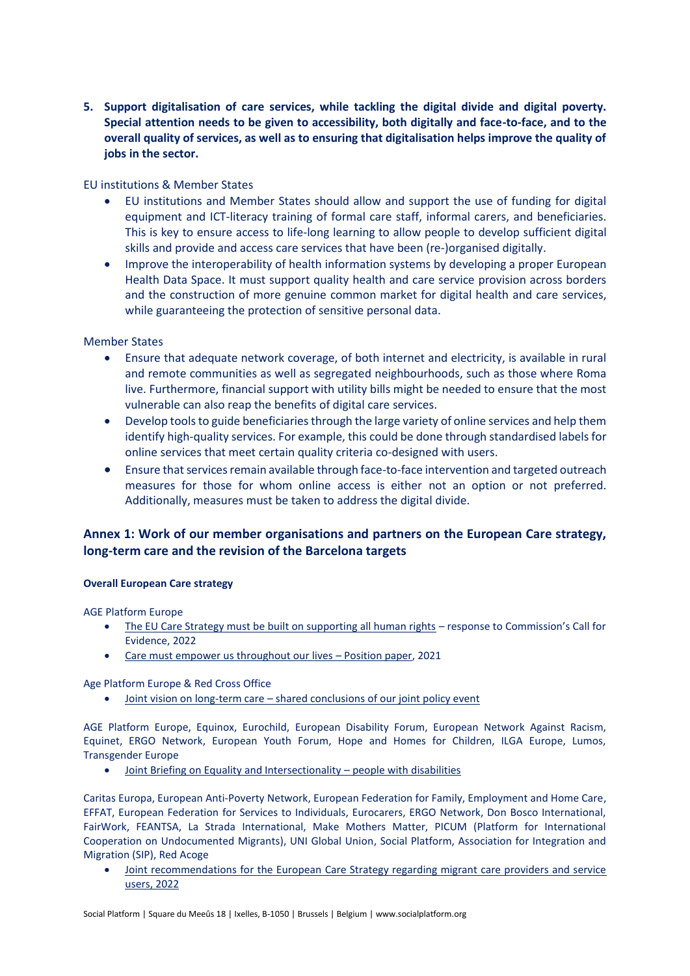**5. Support digitalisation of care services, while tackling the digital divide and digital poverty. Special attention needs to be given to accessibility, both digitally and face-to-face, and to the overall quality of services, as well as to ensuring that digitalisation helps improve the quality of jobs in the sector.**

### EU institutions & Member States

- EU institutions and Member States should allow and support the use of funding for digital equipment and ICT-literacy training of formal care staff, informal carers, and beneficiaries. This is key to ensure access to life-long learning to allow people to develop sufficient digital skills and provide and access care services that have been (re-)organised digitally.
- Improve the interoperability of health information systems by developing a proper European Health Data Space. It must support quality health and care service provision across borders and the construction of more genuine common market for digital health and care services, while guaranteeing the protection of sensitive personal data.

# Member States

- Ensure that adequate network coverage, of both internet and electricity, is available in rural and remote communities as well as segregated neighbourhoods, such as those where Roma live. Furthermore, financial support with utility bills might be needed to ensure that the most vulnerable can also reap the benefits of digital care services.
- Develop tools to guide beneficiaries through the large variety of online services and help them identify high-quality services. For example, this could be done through standardised labels for online services that meet certain quality criteria co-designed with users.
- Ensure that services remain available through face-to-face intervention and targeted outreach measures for those for whom online access is either not an option or not preferred. Additionally, measures must be taken to address the digital divide.

# **Annex 1: Work of our member organisations and partners on the European Care strategy, long-term care and the revision of the Barcelona targets**

### **Overall European Care strategy**

AGE Platform Europe

- [The EU Care Strategy must be built on supporting all human rights](https://age-platform.eu/sites/default/files/AGE%20response%20-%20call%20for%20evidence%20on%20EU%20Care%20Strategy_with_Annex.pdf) response to Commission's Call for Evidence, 2022
- [Care must empower us throughout our lives](https://www.age-platform.eu/publications/care-must-empower-us-throughout-our-lives-age-position-paper)  Position paper, 2021

Age Platform Europe & Red Cross Office

• Joint vision on long-term care – [shared conclusions of our joint policy event](https://age-platform.eu/sites/default/files/Shared%20conclusions_AGE-RCEU_FINAL.pdf)

AGE Platform Europe, Equinox, Eurochild, European Disability Forum, European Network Against Racism, Equinet, ERGO Network, European Youth Forum, Hope and Homes for Children, ILGA Europe, Lumos, Transgender Europe

• [Joint Briefing on Equality and Intersectionality](https://www.edf-feph.org/content/uploads/2022/02/02-14-Joint-Briefing-CRPD-Equality-and-intersectional-issues-faced-by-persons-with-disabilities-in-the-European-Union.pdf) – people with disabilities

Caritas Europa, European Anti-Poverty Network, European Federation for Family, Employment and Home Care, EFFAT, European Federation for Services to Individuals, Eurocarers, ERGO Network, Don Bosco International, FairWork, FEANTSA, La Strada International, Make Mothers Matter, PICUM (Platform for International Cooperation on Undocumented Migrants), UNI Global Union, Social Platform, Association for Integration and Migration (SIP), Red Acoge

• [Joint recommendations for the European Care Strategy regarding migrant care providers and service](https://picum.org/wp-content/uploads/2022/03/Joint-recommendations-EU-Care-Strategy-migrant-care-providers-and-service-users-17-March.pdf)  [users, 2022](https://picum.org/wp-content/uploads/2022/03/Joint-recommendations-EU-Care-Strategy-migrant-care-providers-and-service-users-17-March.pdf)

Social Platform | Square du Meeûs 18 | Ixelles, B-1050 | Brussels | Belgium | www.socialplatform.org